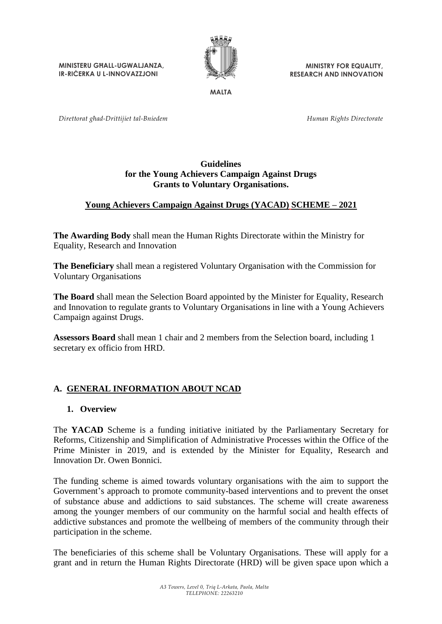**MINISTERU GĦALL-UGWALJANZA, IR-RIĊERKA U L-INNOVAZZJONI**



**MINISTRY FOR EQUALITY, RESEARCH AND INNOVATION**

**MALTA**

*Direttorat għad-Drittijiet tal-Bniedem*

*Human Rights Directorate*

#### **Guidelines for the Young Achievers Campaign Against Drugs Grants to Voluntary Organisations.**

## **Young Achievers Campaign Against Drugs (YACAD) SCHEME – 2021**

**The Awarding Body** shall mean the Human Rights Directorate within the Ministry for Equality, Research and Innovation

**The Beneficiary** shall mean a registered Voluntary Organisation with the Commission for Voluntary Organisations

**The Board** shall mean the Selection Board appointed by the Minister for Equality, Research and Innovation to regulate grants to Voluntary Organisations in line with a Young Achievers Campaign against Drugs.

**Assessors Board** shall mean 1 chair and 2 members from the Selection board, including 1 secretary ex officio from HRD.

## **A. GENERAL INFORMATION ABOUT NCAD**

#### **1. Overview**

The **YACAD** Scheme is a funding initiative initiated by the Parliamentary Secretary for Reforms, Citizenship and Simplification of Administrative Processes within the Office of the Prime Minister in 2019, and is extended by the Minister for Equality, Research and Innovation Dr. Owen Bonnici.

The funding scheme is aimed towards voluntary organisations with the aim to support the Government's approach to promote community-based interventions and to prevent the onset of substance abuse and addictions to said substances. The scheme will create awareness among the younger members of our community on the harmful social and health effects of addictive substances and promote the wellbeing of members of the community through their participation in the scheme.

The beneficiaries of this scheme shall be Voluntary Organisations. These will apply for a grant and in return the Human Rights Directorate (HRD) will be given space upon which a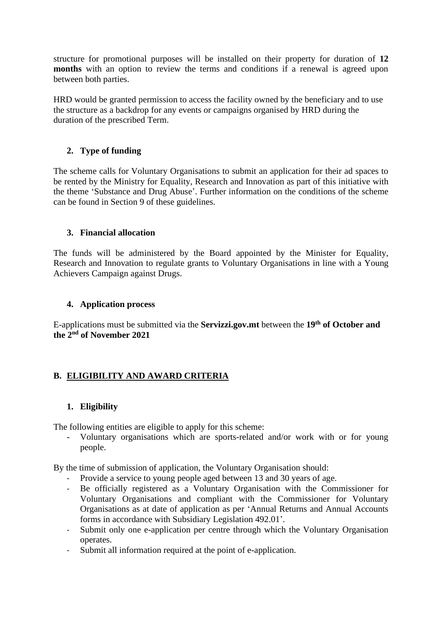structure for promotional purposes will be installed on their property for duration of **12 months** with an option to review the terms and conditions if a renewal is agreed upon between both parties.

HRD would be granted permission to access the facility owned by the beneficiary and to use the structure as a backdrop for any events or campaigns organised by HRD during the duration of the prescribed Term.

## **2. Type of funding**

The scheme calls for Voluntary Organisations to submit an application for their ad spaces to be rented by the Ministry for Equality, Research and Innovation as part of this initiative with the theme 'Substance and Drug Abuse'. Further information on the conditions of the scheme can be found in Section 9 of these guidelines.

## **3. Financial allocation**

The funds will be administered by the Board appointed by the Minister for Equality, Research and Innovation to regulate grants to Voluntary Organisations in line with a Young Achievers Campaign against Drugs.

## **4. Application process**

E-applications must be submitted via the **Servizzi.gov.mt** between the **19th of October and the 2 nd of November 2021**

## **B. ELIGIBILITY AND AWARD CRITERIA**

## **1. Eligibility**

The following entities are eligible to apply for this scheme:

- Voluntary organisations which are sports-related and/or work with or for young people.

By the time of submission of application, the Voluntary Organisation should:

- Provide a service to young people aged between 13 and 30 years of age.
- Be officially registered as a Voluntary Organisation with the Commissioner for Voluntary Organisations and compliant with the Commissioner for Voluntary Organisations as at date of application as per 'Annual Returns and Annual Accounts forms in accordance with Subsidiary Legislation 492.01'.
- Submit only one e-application per centre through which the Voluntary Organisation operates.
- Submit all information required at the point of e-application.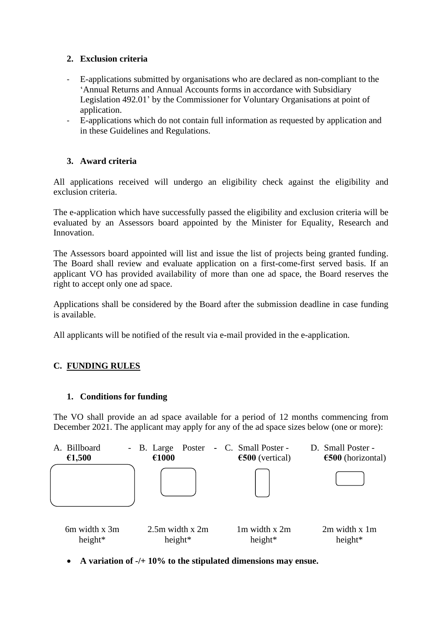## **2. Exclusion criteria**

- E-applications submitted by organisations who are declared as non-compliant to the 'Annual Returns and Annual Accounts forms in accordance with Subsidiary Legislation 492.01' by the Commissioner for Voluntary Organisations at point of application.
- E-applications which do not contain full information as requested by application and in these Guidelines and Regulations.

# **3. Award criteria**

All applications received will undergo an eligibility check against the eligibility and exclusion criteria.

The e-application which have successfully passed the eligibility and exclusion criteria will be evaluated by an Assessors board appointed by the Minister for Equality, Research and Innovation.

The Assessors board appointed will list and issue the list of projects being granted funding. The Board shall review and evaluate application on a first-come-first served basis. If an applicant VO has provided availability of more than one ad space, the Board reserves the right to accept only one ad space.

Applications shall be considered by the Board after the submission deadline in case funding is available.

All applicants will be notified of the result via e-mail provided in the e-application.

# **C. FUNDING RULES**

# **1. Conditions for funding**

The VO shall provide an ad space available for a period of 12 months commencing from December 2021. The applicant may apply for any of the ad space sizes below (one or more):



• **A variation of -/+ 10% to the stipulated dimensions may ensue.**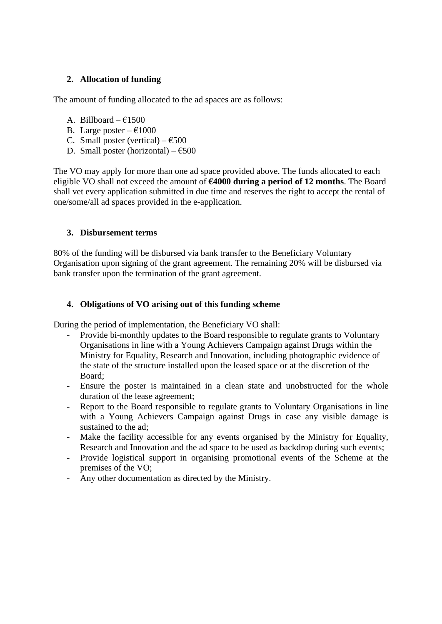## **2. Allocation of funding**

The amount of funding allocated to the ad spaces are as follows:

- A. Billboard  $\epsilon$ 1500
- B. Large poster  $\epsilon$ 1000
- C. Small poster (vertical)  $6500$
- D. Small poster (horizontal)  $\epsilon$ 500

The VO may apply for more than one ad space provided above. The funds allocated to each eligible VO shall not exceed the amount of **€4000 during a period of 12 months**. The Board shall vet every application submitted in due time and reserves the right to accept the rental of one/some/all ad spaces provided in the e-application.

#### **3. Disbursement terms**

80% of the funding will be disbursed via bank transfer to the Beneficiary Voluntary Organisation upon signing of the grant agreement. The remaining 20% will be disbursed via bank transfer upon the termination of the grant agreement.

#### **4. Obligations of VO arising out of this funding scheme**

During the period of implementation, the Beneficiary VO shall:

- Provide bi-monthly updates to the Board responsible to regulate grants to Voluntary Organisations in line with a Young Achievers Campaign against Drugs within the Ministry for Equality, Research and Innovation, including photographic evidence of the state of the structure installed upon the leased space or at the discretion of the Board;
- Ensure the poster is maintained in a clean state and unobstructed for the whole duration of the lease agreement;
- Report to the Board responsible to regulate grants to Voluntary Organisations in line with a Young Achievers Campaign against Drugs in case any visible damage is sustained to the ad;
- Make the facility accessible for any events organised by the Ministry for Equality, Research and Innovation and the ad space to be used as backdrop during such events;
- Provide logistical support in organising promotional events of the Scheme at the premises of the VO;
- Any other documentation as directed by the Ministry.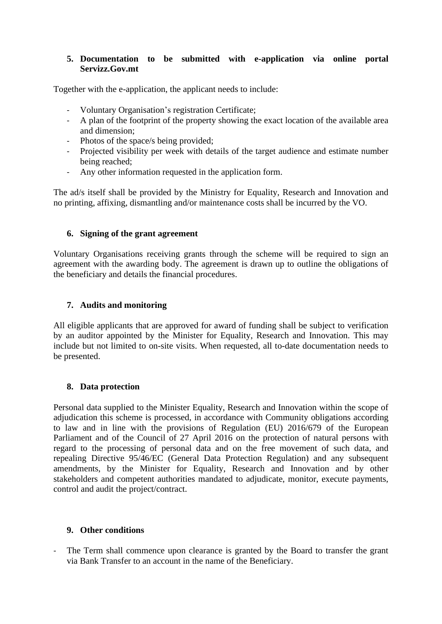### **5. Documentation to be submitted with e-application via online portal Servizz.Gov.mt**

Together with the e-application, the applicant needs to include:

- Voluntary Organisation's registration Certificate;
- A plan of the footprint of the property showing the exact location of the available area and dimension;
- Photos of the space/s being provided;
- Projected visibility per week with details of the target audience and estimate number being reached;
- Any other information requested in the application form.

The ad/s itself shall be provided by the Ministry for Equality, Research and Innovation and no printing, affixing, dismantling and/or maintenance costs shall be incurred by the VO.

#### **6. Signing of the grant agreement**

Voluntary Organisations receiving grants through the scheme will be required to sign an agreement with the awarding body. The agreement is drawn up to outline the obligations of the beneficiary and details the financial procedures.

## **7. Audits and monitoring**

All eligible applicants that are approved for award of funding shall be subject to verification by an auditor appointed by the Minister for Equality, Research and Innovation. This may include but not limited to on-site visits. When requested, all to-date documentation needs to be presented.

#### **8. Data protection**

Personal data supplied to the Minister Equality, Research and Innovation within the scope of adjudication this scheme is processed, in accordance with Community obligations according to law and in line with the provisions of Regulation (EU) 2016/679 of the European Parliament and of the Council of 27 April 2016 on the protection of natural persons with regard to the processing of personal data and on the free movement of such data, and repealing Directive 95/46/EC (General Data Protection Regulation) and any subsequent amendments, by the Minister for Equality, Research and Innovation and by other stakeholders and competent authorities mandated to adjudicate, monitor, execute payments, control and audit the project/contract.

#### **9. Other conditions**

- The Term shall commence upon clearance is granted by the Board to transfer the grant via Bank Transfer to an account in the name of the Beneficiary.